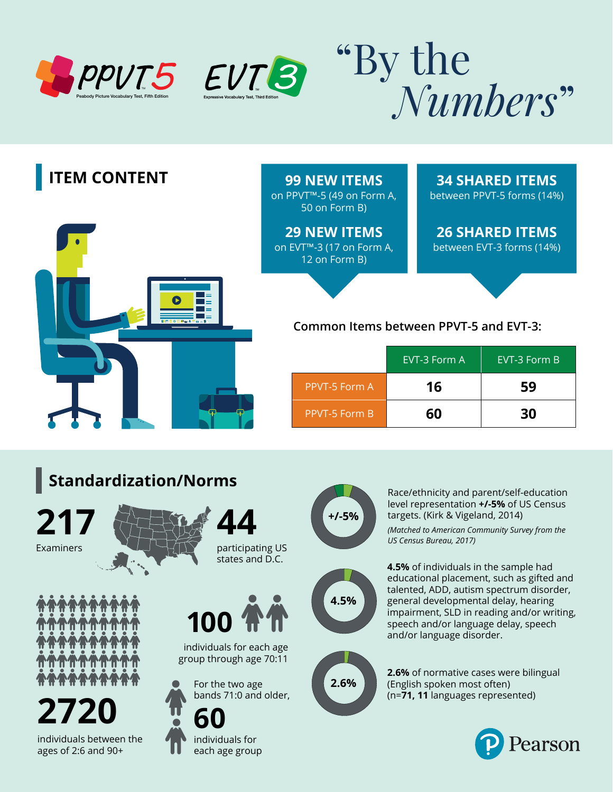











Race/ethnicity and parent/self-education level representation **+/-5%** of US Census targets. (Kirk & Vigeland, 2014)

*(Matched to American Community Survey from the US Census Bureau, 2017)* 



**4.5%** of individuals in the sample had educational placement, such as gifted and talented, ADD, autism spectrum disorder, general developmental delay, hearing impairment, SLD in reading and/or writing, speech and/or language delay, speech and/or language disorder.



**2.6%** of normative cases were bilingual (English spoken most often) (n=**71, 11** languages represented)